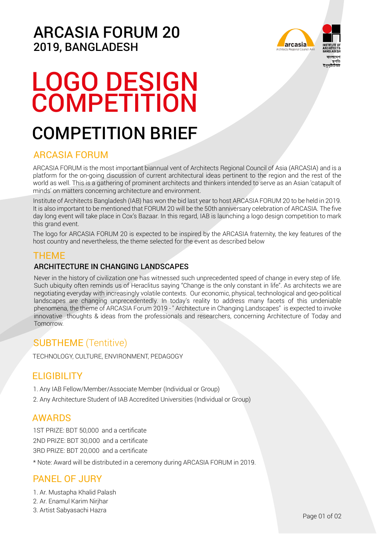### ARCASIA FORUM 20 2019, BANGLADESH



# LOGO DESIGN **COMPETITION**

## COMPETITION BRIEF

### ARCASIA FORUM

ARCASIA FORUM is the most important biannual vent of Architects Regional Council of Asia (ARCASIA) and is a platform for the on-going discussion of current architectural ideas pertinent to the region and the rest of the world as well. This is a gathering of prominent architects and thinkers intended to serve as an Asian 'catapult of minds' on matters concerning architecture and environment.

Institute of Architects Bangladesh (IAB) has won the bid last year to host ARCASIA FORUM 20 to be held in 2019. It is also important to be mentioned that FORUM 20 will be the 50th anniversary celebration of ARCASIA. The five day long event will take place in Cox's Bazaar. In this regard, IAB is launching a logo design competition to mark this grand event.

The logo for ARCASIA FORUM 20 is expected to be inspired by the ARCASIA fraternity, the key features of the host country and nevertheless, the theme selected for the event as described below

### THEME

#### ARCHITECTURE IN CHANGING LANDSCAPES

Never in the history of civilization one has witnessed such unprecedented speed of change in every step of life. Such ubiquity often reminds us of Heraclitus saying "Change is the only constant in life". As architects we are negotiating everyday with increasingly volatile contexts. Our economic, physical, technological and geo-political landscapes are changing unprecedentedly. In today's reality to address many facets of this undeniable phenomena, the theme of ARCASIA Forum 2019 - " Architecture in Changing Landscapes" is expected to invoke innovative thoughts & ideas from the professionals and researchers, concerning Architecture of Today and **Tomorrow.** 

### SUBTHEME (Tentitive)

TECHNOLOGY, CULTURE, ENVIRONMENT, PEDAGOGY

### **ELIGIBILITY**

1. Any IAB Fellow/Member/Associate Member (Individual or Group)

2. Any Architecture Student of IAB Accredited Universities (Individual or Group)

### AWARDS

1ST PRIZE: BDT 50,000 and a certificate 2ND PRIZE: BDT 30,000 and a certificate 3RD PRIZE: BDT 20,000 and a certificate

\* Note: Award will be distributed in a ceremony during ARCASIA FORUM in 2019.

### PANEL OF JURY

- 1. Ar. Mustapha Khalid Palash
- 2. Ar. Enamul Karim Nirjhar
- 3. Artist Sabyasachi Hazra